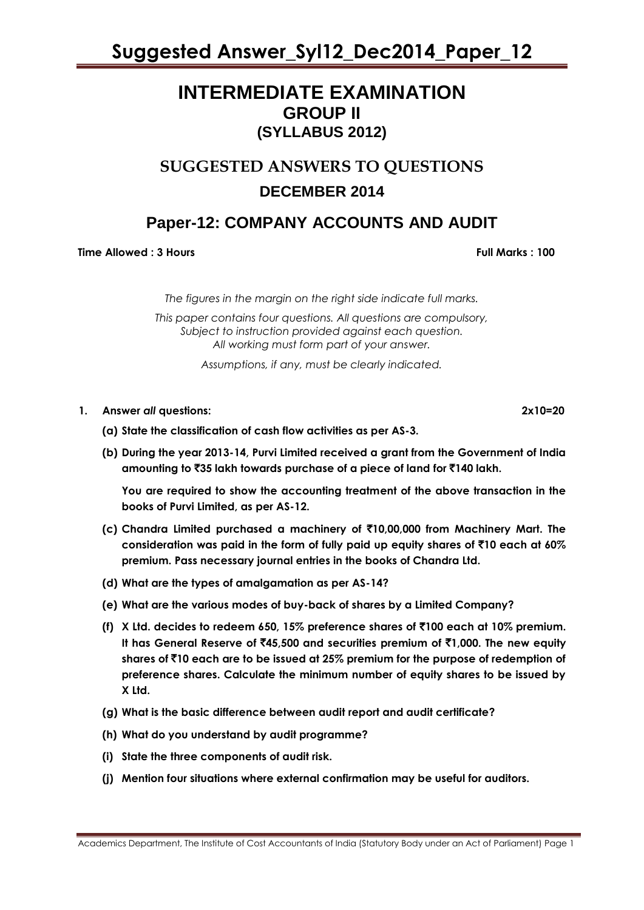### **INTERMEDIATE EXAMINATION GROUP II (SYLLABUS 2012)**

### **SUGGESTED ANSWERS TO QUESTIONS DECEMBER 2014**

### **Paper-12: COMPANY ACCOUNTS AND AUDIT**

**Time Allowed : 3 Hours Full Marks : 100** 

*The figures in the margin on the right side indicate full marks.*

*This paper contains four questions. All questions are compulsory, Subject to instruction provided against each question. All working must form part of your answer.*

*Assumptions, if any, must be clearly indicated.*

- **1. Answer** *all* **questions: 2x10=20**
	- **(a) State the classification of cash flow activities as per AS-3.**
	- **(b) During the year 2013-14, Purvi Limited received a grant from the Government of India amounting to** `**35 lakh towards purchase of a piece of land for** `**140 lakh.**

**You are required to show the accounting treatment of the above transaction in the books of Purvi Limited, as per AS-12.**

- **(c) Chandra Limited purchased a machinery of** `**10,00,000 from Machinery Mart. The consideration was paid in the form of fully paid up equity shares of** `**10 each at 60% premium. Pass necessary journal entries in the books of Chandra Ltd.**
- **(d) What are the types of amalgamation as per AS-14?**
- **(e) What are the various modes of buy-back of shares by a Limited Company?**
- **(f) X Ltd. decides to redeem 650, 15% preference shares of** `**100 each at 10% premium. It has General Reserve of** `**45,500 and securities premium of** `**1,000. The new equity shares of** `**10 each are to be issued at 25% premium for the purpose of redemption of preference shares. Calculate the minimum number of equity shares to be issued by X Ltd.**
- **(g) What is the basic difference between audit report and audit certificate?**
- **(h) What do you understand by audit programme?**
- **(i) State the three components of audit risk.**
- **(j) Mention four situations where external confirmation may be useful for auditors.**

Academics Department, The Institute of Cost Accountants of India (Statutory Body under an Act of Parliament) Page 1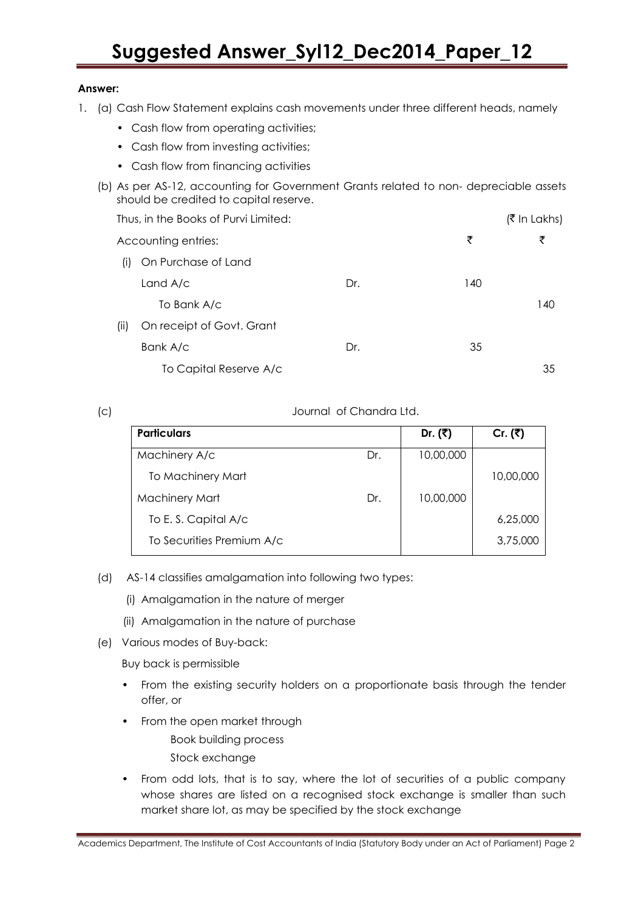#### **Answer:**

- 1. (a) Cash Flow Statement explains cash movements under three different heads, namely
	- Cash flow from operating activities;
	- Cash flow from investing activities;
	- Cash flow from financing activities
	- (b) As per AS-12, accounting for Government Grants related to non- depreciable assets should be credited to capital reserve.

|         | Thus, in the Books of Purvi Limited: |     |     | (₹ In Lakhs) |
|---------|--------------------------------------|-----|-----|--------------|
|         | Accounting entries:                  |     | ₹   | ₹            |
| $\vert$ | On Purchase of Land                  |     |     |              |
|         | Land $A/c$                           | Dr. | 140 |              |
|         | To Bank A/c                          |     |     | 140          |
| (ii)    | On receipt of Govt. Grant            |     |     |              |
|         | Bank A/c                             | Dr. | 35  |              |
|         | To Capital Reserve A/c               |     |     | 35           |

(c) Journal of Chandra Ltd.

| <b>Particulars</b>        |     | Dr. $($ ₹) | Cr. $(3)$ |
|---------------------------|-----|------------|-----------|
| Machinery A/c             | Dr. | 10,00,000  |           |
| To Machinery Mart         |     |            | 10,00,000 |
| <b>Machinery Mart</b>     | Dr. | 10,00,000  |           |
| To E.S. Capital A/c       |     |            | 6,25,000  |
| To Securities Premium A/c |     |            | 3,75,000  |

- (d) AS-14 classifies amalgamation into following two types:
	- (i) Amalgamation in the nature of merger
	- (ii) Amalgamation in the nature of purchase
- (e) Various modes of Buy-back:

Buy back is permissible

- From the existing security holders on a proportionate basis through the tender offer, or
- From the open market through

Book building process

- Stock exchange
- From odd lots, that is to say, where the lot of securities of a public company whose shares are listed on a recognised stock exchange is smaller than such market share lot, as may be specified by the stock exchange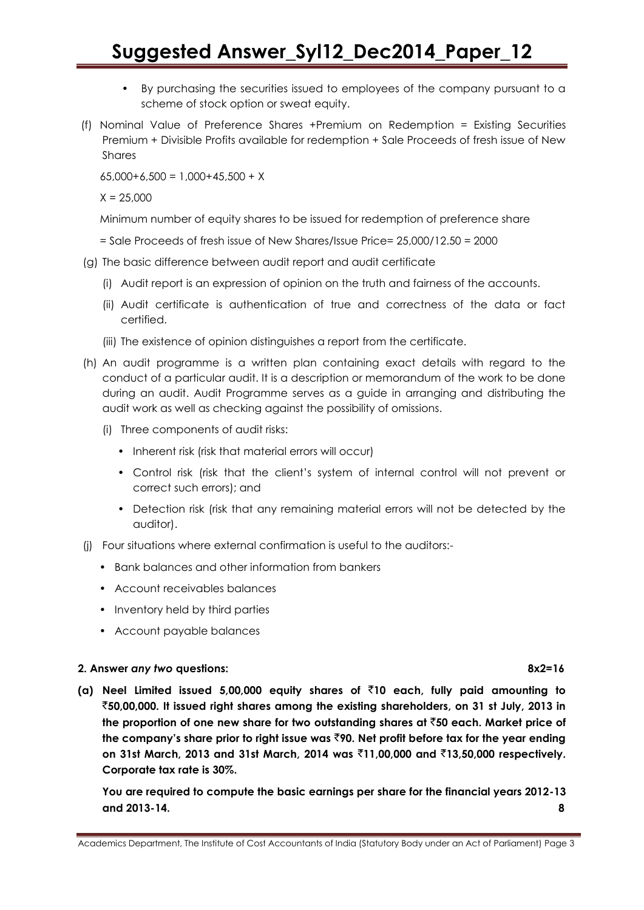- By purchasing the securities issued to employees of the company pursuant to a scheme of stock option or sweat equity.
- (f) Nominal Value of Preference Shares +Premium on Redemption = Existing Securities Premium + Divisible Profits available for redemption + Sale Proceeds of fresh issue of New Shares

 $65,000+6,500 = 1,000+45,500 + X$ 

 $X = 25,000$ 

Minimum number of equity shares to be issued for redemption of preference share

= Sale Proceeds of fresh issue of New Shares/Issue Price= 25,000/12.50 = 2000

- (g) The basic difference between audit report and audit certificate
	- (i) Audit report is an expression of opinion on the truth and fairness of the accounts.
	- (ii) Audit certificate is authentication of true and correctness of the data or fact certified.
	- (iii) The existence of opinion distinguishes a report from the certificate.
- (h) An audit programme is a written plan containing exact details with regard to the conduct of a particular audit. It is a description or memorandum of the work to be done during an audit. Audit Programme serves as a guide in arranging and distributing the audit work as well as checking against the possibility of omissions.
	- (i) Three components of audit risks:
		- Inherent risk (risk that material errors will occur)
		- Control risk (risk that the client"s system of internal control will not prevent or correct such errors); and
		- Detection risk (risk that any remaining material errors will not be detected by the auditor).
- (j) Four situations where external confirmation is useful to the auditors:-
	- Bank balances and other information from bankers
	- Account receivables balances
	- Inventory held by third parties
	- Account payable balances

#### **2. Answer** *any two* **questions: 8x2=16**

**(a) Neel Limited issued 5,00,000 equity shares of** `**10 each, fully paid amounting to**  `**50,00,000. It issued right shares among the existing shareholders, on 31 st July, 2013 in the proportion of one new share for two outstanding shares at** `**50 each. Market price of the company"s share prior to right issue was** `**90. Net profit before tax for the year ending on 31st March, 2013 and 31st March, 2014 was** `**11,00,000 and** `**13,50,000 respectively. Corporate tax rate is 30%.**

**You are required to compute the basic earnings per share for the financial years 2012-13 and 2013-14. 8**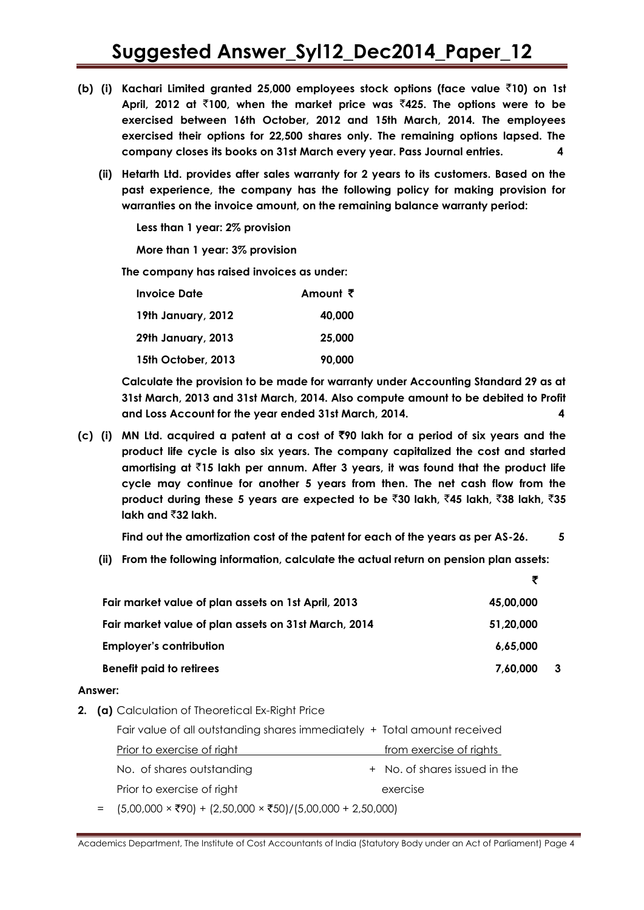- **(b) (i) Kachari Limited granted 25,000 employees stock options (face value** `**10) on 1st April, 2012 at** `**100, when the market price was** `**425. The options were to be exercised between 16th October, 2012 and 15th March, 2014. The employees exercised their options for 22,500 shares only. The remaining options lapsed. The company closes its books on 31st March every year. Pass Journal entries. 4**
	- **(ii) Hetarth Ltd. provides after sales warranty for 2 years to its customers. Based on the past experience, the company has the following policy for making provision for warranties on the invoice amount, on the remaining balance warranty period:**

**Less than 1 year: 2% provision**

**More than 1 year: 3% provision**

**The company has raised invoices as under:**

| <b>Invoice Date</b> | Amount $\bar{z}$ |
|---------------------|------------------|
| 19th January, 2012  | 40,000           |
| 29th January, 2013  | 25,000           |
| 15th October, 2013  | 90.000           |

**Calculate the provision to be made for warranty under Accounting Standard 29 as at 31st March, 2013 and 31st March, 2014. Also compute amount to be debited to Profit and Loss Account for the year ended 31st March, 2014. 4**

**(c) (i) MN Ltd. acquired a patent at a cost of** `**90 lakh for a period of six years and the product life cycle is also six years. The company capitalized the cost and started amortising at** `**15 lakh per annum. After 3 years, it was found that the product life cycle may continue for another 5 years from then. The net cash flow from the product during these 5 years are expected to be** `**30 lakh,** `**45 lakh,** `**38 lakh,** `**35 lakh and** `**32 lakh.**

**Find out the amortization cost of the patent for each of the years as per AS-26. 5**

**(ii) From the following information, calculate the actual return on pension plan assets:**

|                                                      | ₹         |    |
|------------------------------------------------------|-----------|----|
| Fair market value of plan assets on 1st April, 2013  | 45,00,000 |    |
| Fair market value of plan assets on 31st March, 2014 | 51.20.000 |    |
| <b>Employer's contribution</b>                       | 6.65.000  |    |
| <b>Benefit paid to retirees</b>                      | 7,60,000  | -3 |

#### **Answer:**

**2. (a)** Calculation of Theoretical Ex-Right Price

| Fair value of all outstanding shares immediately + Total amount received                      |                               |
|-----------------------------------------------------------------------------------------------|-------------------------------|
| Prior to exercise of right                                                                    | from exercise of rights       |
| No. of shares outstanding                                                                     | + No. of shares issued in the |
| Prior to exercise of right                                                                    | exercise                      |
| = $(5,00,000 \times \overline{5}90) + (2,50,000 \times \overline{5}50)/(5,00,000 + 2,50,000)$ |                               |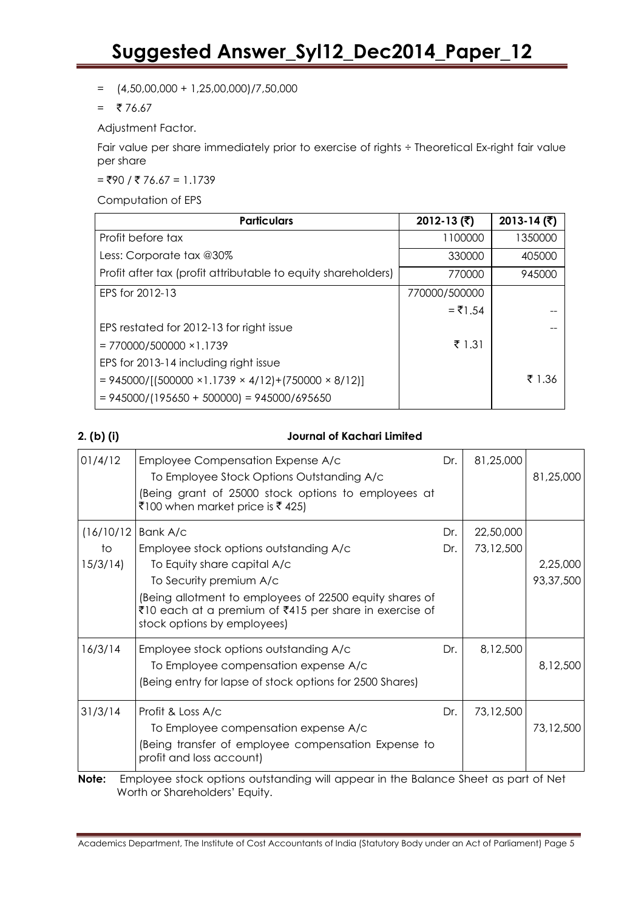$=$   $(4,50,00,000 + 1,25,00,000)/7,50,000$ 

 $= 76.67$ 

Adjustment Factor.

Fair value per share immediately prior to exercise of rights ÷ Theoretical Ex-right fair value per share

 $=$  ₹90 / ₹ 76.67 = 1.1739

Computation of EPS

| <b>Particulars</b>                                                   | 2012-13 $($ ₹) | 2013-14 $($ ₹) |
|----------------------------------------------------------------------|----------------|----------------|
| Profit before tax                                                    | 1100000        | 1350000        |
| Less: Corporate tax @30%                                             | 330000         | 405000         |
| Profit after tax (profit attributable to equity shareholders)        | 770000         | 945000         |
| EPS for 2012-13                                                      | 770000/500000  |                |
|                                                                      | $= ₹1.54$      |                |
| EPS restated for 2012-13 for right issue                             |                |                |
| $= 770000/500000 \times 1.1739$                                      | ₹ 1.31         |                |
| EPS for 2013-14 including right issue                                |                |                |
| $= 945000/[(500000 \times 1.1739 \times 4/12)+(750000 \times 8/12)]$ |                | ₹ 1.36         |
| $= 945000/(195650 + 500000) = 945000/695650$                         |                |                |

### **2. (b) (i) Journal of Kachari Limited**

| 01/4/12    | Employee Compensation Expense A/c<br>To Employee Stock Options Outstanding A/c<br>(Being grant of 25000 stock options to employees at<br>₹100 when market price is ₹425)   | Dr. | 81,25,000 | 81,25,000                                           |
|------------|----------------------------------------------------------------------------------------------------------------------------------------------------------------------------|-----|-----------|-----------------------------------------------------|
| (16/10/12) | Bank A/c                                                                                                                                                                   | Dr. | 22,50,000 |                                                     |
| to         | Employee stock options outstanding A/c                                                                                                                                     | Dr. | 73,12,500 |                                                     |
| 15/3/14    | To Equity share capital A/c                                                                                                                                                |     |           | 2,25,000                                            |
|            | To Security premium A/c                                                                                                                                                    |     |           | 93,37,500                                           |
|            | Being allotment to employees of 22500 equity shares of<br>₹10 each at a premium of ₹415 per share in exercise of<br>stock options by employees)                            |     |           |                                                     |
| 16/3/14    | Employee stock options outstanding A/c                                                                                                                                     | Dr. | 8,12,500  |                                                     |
|            | To Employee compensation expense A/c                                                                                                                                       |     |           | 8,12,500                                            |
|            | (Being entry for lapse of stock options for 2500 Shares)                                                                                                                   |     |           |                                                     |
| 31/3/14    | Profit & Loss A/c                                                                                                                                                          | Dr. | 73,12,500 |                                                     |
|            | To Employee compensation expense A/c                                                                                                                                       |     |           | 73,12,500                                           |
|            | (Being transfer of employee compensation Expense to<br>profit and loss account)                                                                                            |     |           |                                                     |
| . .        | the contract of the contract of the contract of the contract of the contract of the contract of the contract of<br>$\cdot$ $\cdot$ $\cdot$ $\cdot$ $\cdot$ $\cdot$ $\cdot$ |     |           | $\mathbf{r}$ $\mathbf{r}$ $\mathbf{r}$ $\mathbf{r}$ |

**Note:** Employee stock options outstanding will appear in the Balance Sheet as part of Net Worth or Shareholders" Equity.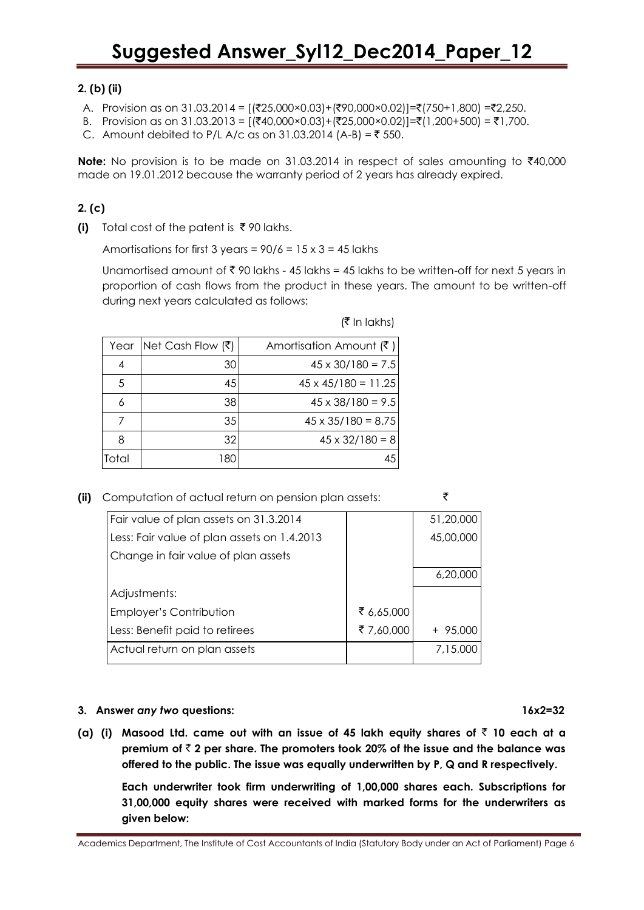### **2. (b) (ii)**

- A. Provision as on 31.03.2014 =  $[({}^{2}25,000 \times 0.03] + ({}^{2}90,000 \times 0.02)] =({}^{7}750+1,800) =({}^{2}2,250$ .
- B. Provision as on 31.03.2013 =  $[(\overline{$}40,000 \times 0.03) + (\overline{$}25,000 \times 0.02)] = \overline{$}(1,200+500) = \overline{$}1,700$ .
- C. Amount debited to P/L A/c as on 31.03.2014 (A-B) = ₹ 550.

Note: No provision is to be made on 31.03.2014 in respect of sales amounting to ₹40,000 made on 19.01.2012 because the warranty period of 2 years has already expired.

### **2. (c)**

**(i)** Total cost of the patent is  $\bar{\tau}$  90 lakhs.

Amortisations for first 3 years =  $90/6$  =  $15 \times 3$  = 45 lakhs

Unamortised amount of  $\bar{\tau}$  90 lakhs - 45 lakhs = 45 lakhs to be written-off for next 5 years in proportion of cash flows from the product in these years. The amount to be written-off during next years calculated as follows:

| (₹ In lakhs) |  |
|--------------|--|
|--------------|--|

| Year  | Net Cash Flow $( ₹)$ | Amortisation Amount $(\bar{\zeta})$ |
|-------|----------------------|-------------------------------------|
|       | 30                   | $45 \times 30/180 = 7.5$            |
| .5    | 45                   | $45 \times 45/180 = 11.25$          |
|       | 38                   | $45 \times 38/180 = 9.5$            |
|       | 35                   | $45 \times 35/180 = 8.75$           |
| я     | 32                   | $45 \times 32/180 = 8$              |
| Total | 180                  | 45                                  |

**(ii)** Computation of actual return on pension plan assets: `

| Fair value of plan assets on 31.3.2014      |            | 51,20,000 |
|---------------------------------------------|------------|-----------|
| Less: Fair value of plan assets on 1.4.2013 |            | 45,00,000 |
| Change in fair value of plan assets         |            |           |
|                                             |            | 6,20,000  |
| Adjustments:                                |            |           |
| <b>Employer's Contribution</b>              | ₹ 6,65,000 |           |
| Less: Benefit paid to retirees              | ₹7,60,000  | $+95,000$ |
| Actual return on plan assets                |            | 7,15,000  |
|                                             |            |           |

### **3. Answer** *any two* **questions: 16x2=32**

**(a) (i) Masood Ltd. came out with an issue of 45 lakh equity shares of** ` **10 each at a premium of** ` **2 per share. The promoters took 20% of the issue and the balance was offered to the public. The issue was equally underwritten by P, Q and R respectively.**

**Each underwriter took firm underwriting of 1,00,000 shares each. Subscriptions for 31,00,000 equity shares were received with marked forms for the underwriters as given below:**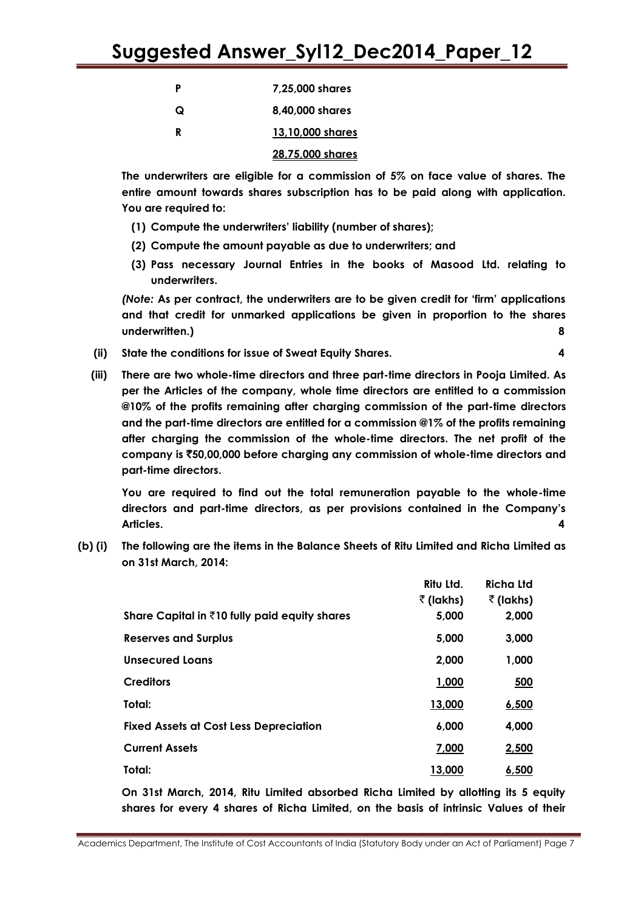| Ρ | 7,25,000 shares |
|---|-----------------|
|   |                 |

**Q 8,40,000 shares**

**R 13,10,000 shares**

### **28,75,000 shares**

**The underwriters are eligible for a commission of 5% on face value of shares. The entire amount towards shares subscription has to be paid along with application. You are required to:**

- **(1) Compute the underwriters" liability (number of shares);**
- **(2) Compute the amount payable as due to underwriters; and**
- **(3) Pass necessary Journal Entries in the books of Masood Ltd. relating to underwriters.**

*(Note:* **As per contract, the underwriters are to be given credit for "firm" applications and that credit for unmarked applications be given in proportion to the shares underwritten.) 8**

- **(ii) State the conditions for issue of Sweat Equity Shares. 4**
- 
- **(iii) There are two whole-time directors and three part-time directors in Pooja Limited. As per the Articles of the company, whole time directors are entitled to a commission @10% of the profits remaining after charging commission of the part-time directors and the part-time directors are entitled for a commission @1% of the profits remaining after charging the commission of the whole-time directors. The net profit of the company is** `**50,00,000 before charging any commission of whole-time directors and part-time directors.**

**You are required to find out the total remuneration payable to the whole-time directors and part-time directors, as per provisions contained in the Company"s Articles. 4**

**(b) (i) The following are the items in the Balance Sheets of Ritu Limited and Richa Limited as on 31st March, 2014:**

|                                                        | Ritu Ltd.         | <b>Richa Ltd</b>  |
|--------------------------------------------------------|-------------------|-------------------|
|                                                        | $\bar{z}$ (lakhs) | $\bar{z}$ (lakhs) |
| Share Capital in $\bar{z}$ 10 fully paid equity shares | 5,000             | 2,000             |
| <b>Reserves and Surplus</b>                            | 5,000             | 3,000             |
| <b>Unsecured Loans</b>                                 | 2,000             | 1,000             |
| <b>Creditors</b>                                       | 1,000             | 500               |
| Total:                                                 | 13,000            | 6,500             |
| <b>Fixed Assets at Cost Less Depreciation</b>          | 6,000             | 4,000             |
| <b>Current Assets</b>                                  | 7,000             | 2,500             |
| Total:                                                 | 13,000            | 6,500             |

**On 31st March, 2014, Ritu Limited absorbed Richa Limited by allotting its 5 equity shares for every 4 shares of Richa Limited, on the basis of intrinsic Values of their**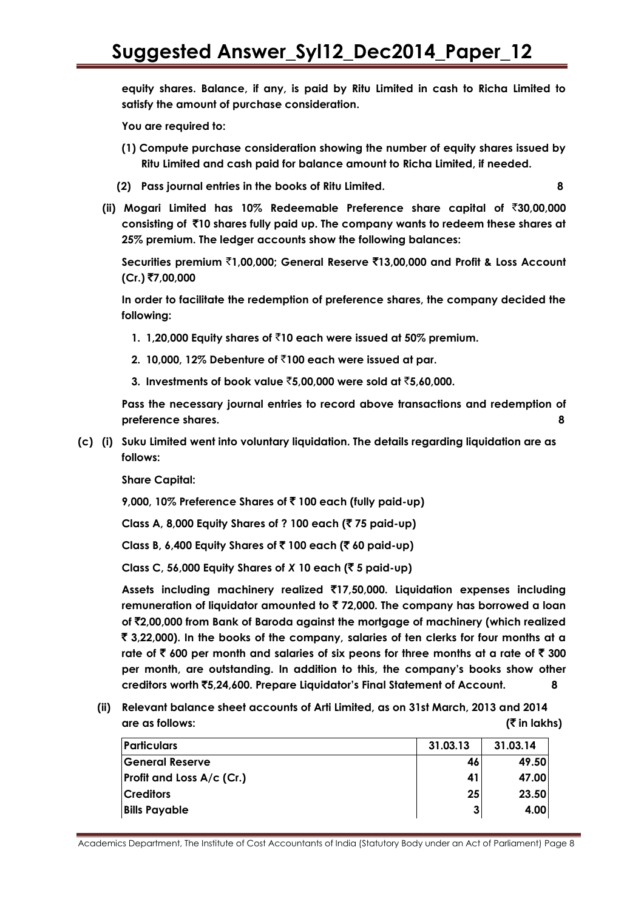**equity shares. Balance, if any, is paid by Ritu Limited in cash to Richa Limited to satisfy the amount of purchase consideration.**

**You are required to:**

- **(1) Compute purchase consideration showing the number of equity shares issued by Ritu Limited and cash paid for balance amount to Richa Limited, if needed.**
- **(2) Pass journal entries in the books of Ritu Limited. 8**

**(ii) Mogari Limited has 10% Redeemable Preference share capital of** `**30,00,000 consisting of** `**10 shares fully paid up. The company wants to redeem these shares at 25% premium. The ledger accounts show the following balances:**

**Securities premium** `**1,00,000; General Reserve** `**13,00,000 and Profit & Loss Account (Cr.)** `**7,00,000**

**In order to facilitate the redemption of preference shares, the company decided the following:**

- **1. 1,20,000 Equity shares of** `**10 each were issued at 50% premium.**
- **2. 10,000, 12% Debenture of** `**100 each were issued at par.**
- **3. Investments of book value** `**5,00,000 were sold at** `**5,60,000.**

**Pass the necessary journal entries to record above transactions and redemption of preference shares. 8**

**(c) (i) Suku Limited went into voluntary liquidation. The details regarding liquidation are as follows:**

**Share Capital:**

**9,000, 10% Preference Shares of** ` **100 each (fully paid-up)**

**Class A, 8,000 Equity Shares of ? 100 each (**` **75 paid-up)**

**Class B, 6,400 Equity Shares of** ` **100 each (**` **60 paid-up)**

**Class C, 56,000 Equity Shares of** *X* **10 each (**` **5 paid-up)**

**Assets including machinery realized** `**17,50,000. Liquidation expenses including remuneration of liquidator amounted to** ` **72,000. The company has borrowed a loan of** `**2,00,000 from Bank of Baroda against the mortgage of machinery (which realized**  ` **3,22,000). In the books of the company, salaries of ten clerks for four months at a rate of** ` **600 per month and salaries of six peons for three months at a rate of** ` **300 per month, are outstanding. In addition to this, the company"s books show other creditors worth** `**5,24,600. Prepare Liquidator"s Final Statement of Account. 8**

**(ii) Relevant balance sheet accounts of Arti Limited, as on 31st March, 2013 and 2014 are as follows: (**` **in lakhs)**

| <b>Particulars</b>               | 31.03.13 | 31.03.14 |
|----------------------------------|----------|----------|
| General Reserve                  | 46       | 49.50    |
| <b>Profit and Loss A/c (Cr.)</b> | 41       | 47.00    |
| <b>Creditors</b>                 | 25       | 23.50    |
| <b>Bills Payable</b>             |          | 4.00     |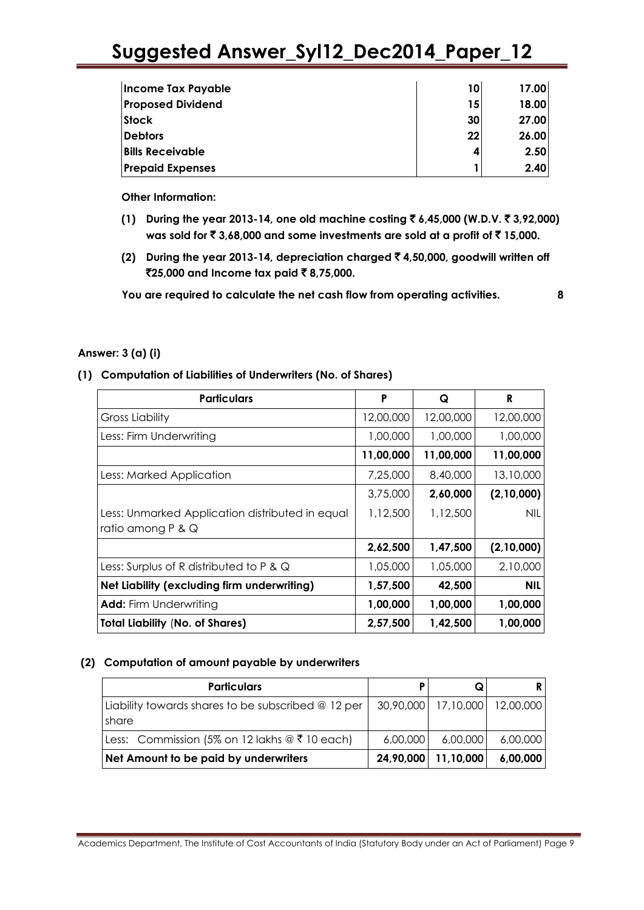| Income Tax Payable       | 10 | 17.00 |
|--------------------------|----|-------|
| <b>Proposed Dividend</b> | 15 | 18.00 |
| <b>Stock</b>             | 30 | 27.00 |
| <b>Debtors</b>           | 22 | 26.00 |
| <b>Bills Receivable</b>  |    | 2.50  |
| <b>Prepaid Expenses</b>  |    | 2.40  |

**Other Information:**

- **(1) During the year 2013-14, one old machine costing** ` **6,45,000 (W.D.V.** ` **3,92,000) was sold for ₹3,68,000 and some investments are sold at a profit of ₹15,000.**
- **(2) During the year 2013-14, depreciation charged** ` **4,50,000, goodwill written off**  `**25,000 and Income tax paid** ` **8,75,000.**

**You are required to calculate the net cash flow from operating activities. 8**

### **Answer: 3 (a) (i)**

### **(1) Computation of Liabilities of Underwriters (No. of Shares)**

| <b>Particulars</b>                                | P         | Q         | R          |
|---------------------------------------------------|-----------|-----------|------------|
| <b>Gross Liability</b>                            | 12,00,000 | 12,00,000 | 12,00,000  |
| Less: Firm Underwriting                           | 1,00,000  | 1,00,000  | 1,00,000   |
|                                                   | 11,00,000 | 11,00,000 | 11,00,000  |
| Less: Marked Application                          | 7,25,000  | 8,40,000  | 13,10,000  |
|                                                   | 3,75,000  | 2,60,000  | (2,10,000) |
| Less: Unmarked Application distributed in equal   | 1,12,500  | 1,12,500  | <b>NIL</b> |
| ratio among $P$ & $Q$                             |           |           |            |
|                                                   | 2,62,500  | 1,47,500  | (2,10,000) |
| Less: Surplus of R distributed to P & $\mathsf Q$ | 1,05,000  | 1,05,000  | 2,10,000   |
| Net Liability (excluding firm underwriting)       | 1,57,500  | 42,500    | <b>NIL</b> |
| <b>Add:</b> Firm Underwriting                     | 1,00,000  | 1,00,000  | 1,00,000   |
| <b>Total Liability (No. of Shares)</b>            | 2,57,500  | 1,42,500  | 1,00,000   |

### **(2) Computation of amount payable by underwriters**

| <b>Particulars</b>                                                    | P        |                                   |          |
|-----------------------------------------------------------------------|----------|-----------------------------------|----------|
| Liability towards shares to be subscribed $@12$ per<br><b>I</b> share |          | 30,90,000   17,10,000   12,00,000 |          |
| Less: Commission (5% on 12 lakhs @ ₹ 10 each)                         | 6,00,000 | 6,00,000                          | 6,00,000 |
| Net Amount to be paid by underwriters                                 |          | 24,90,000   11,10,000             | 6,00,000 |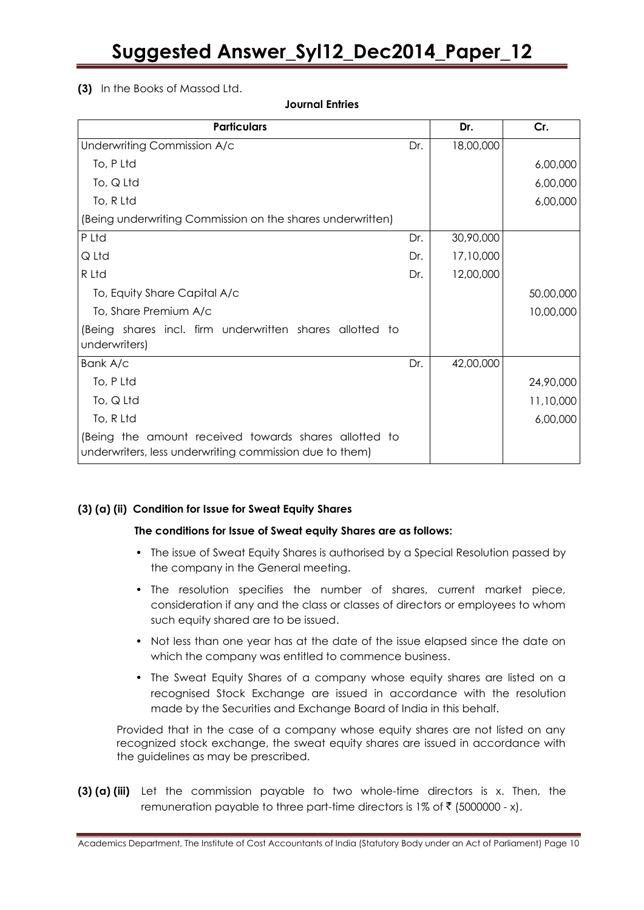### **(3)** In the Books of Massod Ltd.

**Particulars Dr. Cr.** Underwriting Commission A/c To, P Ltd To, Q Ltd To, R Ltd (Being underwriting Commission on the shares underwritten) Dr. 18,00,000 6,00,000 6,00,000 6,00,000 P Ltd Q Ltd R Ltd To, Equity Share Capital A/c To, Share Premium A/c (Being shares incl. firm underwritten shares allotted to underwriters) Dr. Dr. Dr. 30,90,000 17,10,000 12,00,000 50,00,000 10,00,000 Bank A/c To, P Ltd To, Q Ltd To, R Ltd (Being the amount received towards shares allotted to underwriters, less underwriting commission due to them) Dr. 42,00,000 24,90,000 11,10,000 6,00,000

### **Journal Entries**

### **(3) (a) (ii) Condition for Issue for Sweat Equity Shares**

#### **The conditions for Issue of Sweat equity Shares are as follows:**

- The issue of Sweat Equity Shares is authorised by a Special Resolution passed by the company in the General meeting.
- The resolution specifies the number of shares, current market piece, consideration if any and the class or classes of directors or employees to whom such equity shared are to be issued.
- Not less than one year has at the date of the issue elapsed since the date on which the company was entitled to commence business.
- The Sweat Equity Shares of a company whose equity shares are listed on a recognised Stock Exchange are issued in accordance with the resolution made by the Securities and Exchange Board of India in this behalf.

Provided that in the case of a company whose equity shares are not listed on any recognized stock exchange, the sweat equity shares are issued in accordance with the guidelines as may be prescribed.

**(3) (a) (iii)** Let the commission payable to two whole-time directors is x. Then, the remuneration payable to three part-time directors is 1% of  $\bar{z}$  (5000000 - x).

Academics Department, The Institute of Cost Accountants of India (Statutory Body under an Act of Parliament) Page 10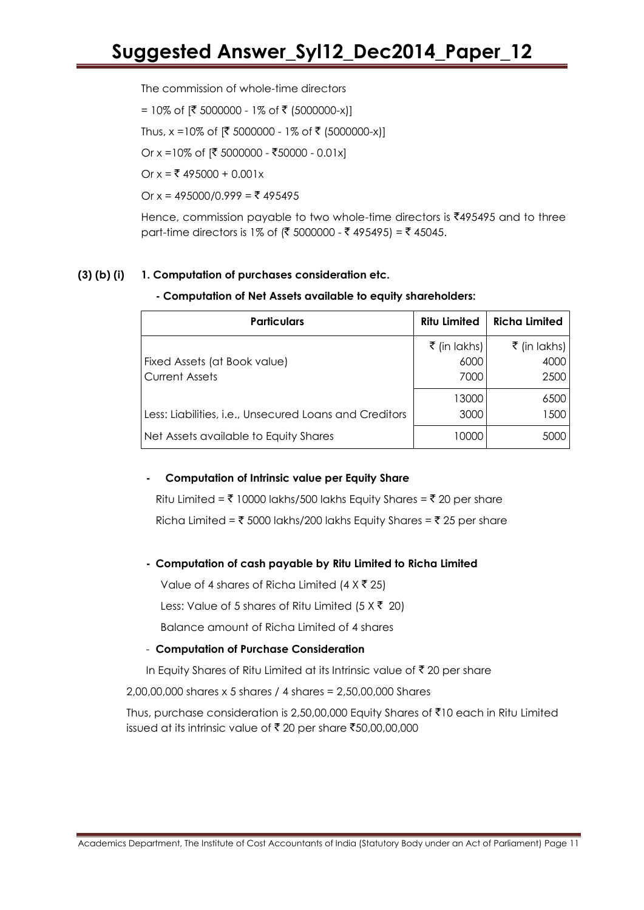The commission of whole-time directors

= 10% of [₹ 5000000 - 1% of ₹ (5000000-x)]

Thus, x =10% of  $[{$ mathcal{F}} 5000000 - 1% of  ${$ mathcal{F}} (5000000-x)]

Or x =10% of  $[ ₹ 5000000 - ₹50000 - 0.01x]$ 

Or  $x = ₹ 495000 + 0.001x$ 

Or  $x = 495000/0.999 = ₹ 495495$ 

Hence, commission payable to two whole-time directors is  $\bar{\xi}$ 495495 and to three part-time directors is 1% of (₹ 5000000 - ₹ 495495) = ₹ 45045.

### **(3) (b) (i) 1. Computation of purchases consideration etc.**

### **- Computation of Net Assets available to equity shareholders:**

| <b>Particulars</b>                                     | <b>Ritu Limited</b>          | <b>Richa Limited</b>         |
|--------------------------------------------------------|------------------------------|------------------------------|
| Fixed Assets (at Book value)<br><b>Current Assets</b>  | ₹ (in lakhs)<br>6000<br>7000 | ₹ (in lakhs)<br>4000<br>2500 |
| Less: Liabilities, i.e., Unsecured Loans and Creditors | 13000<br>3000                | 6500<br>1500                 |
| Net Assets available to Equity Shares                  | 10000                        | 5000                         |

### **- Computation of Intrinsic value per Equity Share**

Ritu Limited =  $\bar{\tau}$  10000 lakhs/500 lakhs Equity Shares =  $\bar{\tau}$  20 per share Richa Limited =  $\bar{\tau}$  5000 lakhs/200 lakhs Equity Shares =  $\bar{\tau}$  25 per share

### **- Computation of cash payable by Ritu Limited to Richa Limited**

Value of 4 shares of Richa Limited  $(4 \times \overline{5} \ 25)$ 

Less: Value of 5 shares of Ritu Limited (5  $\times$  ₹ 20)

Balance amount of Richa Limited of 4 shares

### - **Computation of Purchase Consideration**

In Equity Shares of Ritu Limited at its Intrinsic value of  $\bar{\tau}$  20 per share

2,00,00,000 shares x 5 shares / 4 shares = 2,50,00,000 Shares

Thus, purchase consideration is 2,50,00,000 Equity Shares of  $\bar{\tau}$ 10 each in Ritu Limited issued at its intrinsic value of ₹20 per share ₹50,00,00,000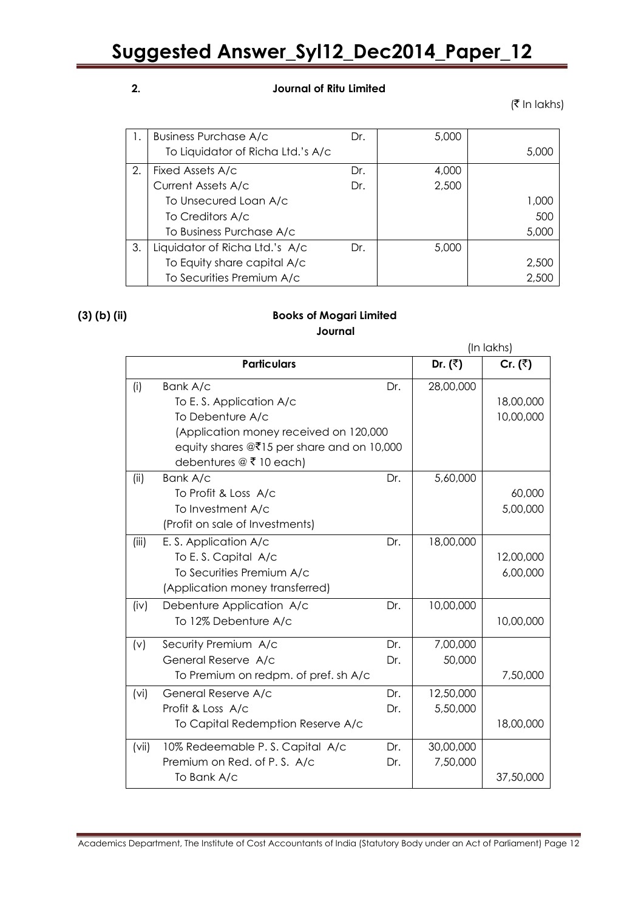### **2. Journal of Ritu Limited**

 $($ ₹ In lakhs)

|    | <b>Business Purchase A/c</b>      | Dr. | 5,000 |       |
|----|-----------------------------------|-----|-------|-------|
|    |                                   |     |       |       |
|    | To Liquidator of Richa Ltd.'s A/c |     |       | 5,000 |
| 2. | Fixed Assets A/c                  | Dr. | 4,000 |       |
|    | Current Assets A/c                | Dr. | 2,500 |       |
|    | To Unsecured Loan A/c             |     |       | 1,000 |
|    | To Creditors A/c                  |     |       | 500   |
|    | To Business Purchase A/c          |     |       | 5,000 |
| 3. | Liquidator of Richa Ltd.'s A/c    | Dr. | 5,000 |       |
|    | To Equity share capital A/c       |     |       | 2,500 |
|    | To Securities Premium A/c         |     |       | 2,500 |

### **(3) (b) (ii) Books of Mogari Limited Journal**

|                   |                                                         |     |                          | (In lakhs)           |
|-------------------|---------------------------------------------------------|-----|--------------------------|----------------------|
|                   | <b>Particulars</b>                                      |     | Dr. $(\overline{\zeta})$ | Cr. $(\overline{z})$ |
| (i)               | Bank A/c                                                | Dr. | 28,00,000                |                      |
|                   | To E.S. Application A/c                                 |     |                          | 18,00,000            |
|                   | To Debenture A/c                                        |     |                          | 10,00,000            |
|                   | (Application money received on 120,000                  |     |                          |                      |
|                   | equity shares $@\overline{5}15$ per share and on 10,000 |     |                          |                      |
|                   | debentures @ ₹ 10 each)                                 |     |                          |                      |
| (ii)              | Bank A/c                                                | Dr. | 5,60,000                 |                      |
|                   | To Profit & Loss A/c                                    |     |                          | 60,000               |
|                   | To Investment A/c                                       |     |                          | 5,00,000             |
|                   | (Profit on sale of Investments)                         |     |                          |                      |
| (iii)             | E.S. Application A/c                                    | Dr. | 18,00,000                |                      |
|                   | To E.S. Capital A/c                                     |     |                          | 12,00,000            |
|                   | To Securities Premium A/c                               |     |                          | 6,00,000             |
|                   | (Application money transferred)                         |     |                          |                      |
| (iv)              | Debenture Application A/c                               | Dr. | 10,00,000                |                      |
|                   | To 12% Debenture A/c                                    |     |                          | 10,00,000            |
| (v)               | Security Premium A/c                                    | Dr. | 7,00,000                 |                      |
|                   | General Reserve A/c                                     | Dr. | 50,000                   |                      |
|                   | To Premium on redpm. of pref. sh A/c                    |     |                          | 7,50,000             |
| (v <sub>i</sub> ) | General Reserve A/c                                     | Dr. | 12,50,000                |                      |
|                   | Profit & Loss A/c                                       | Dr. | 5,50,000                 |                      |
|                   | To Capital Redemption Reserve A/c                       |     |                          | 18,00,000            |
| (vii)             | 10% Redeemable P.S. Capital A/c                         | Dr. | 30,00,000                |                      |
|                   | Premium on Red. of P.S. A/c                             | Dr. | 7,50,000                 |                      |
|                   | To Bank A/c                                             |     |                          | 37,50,000            |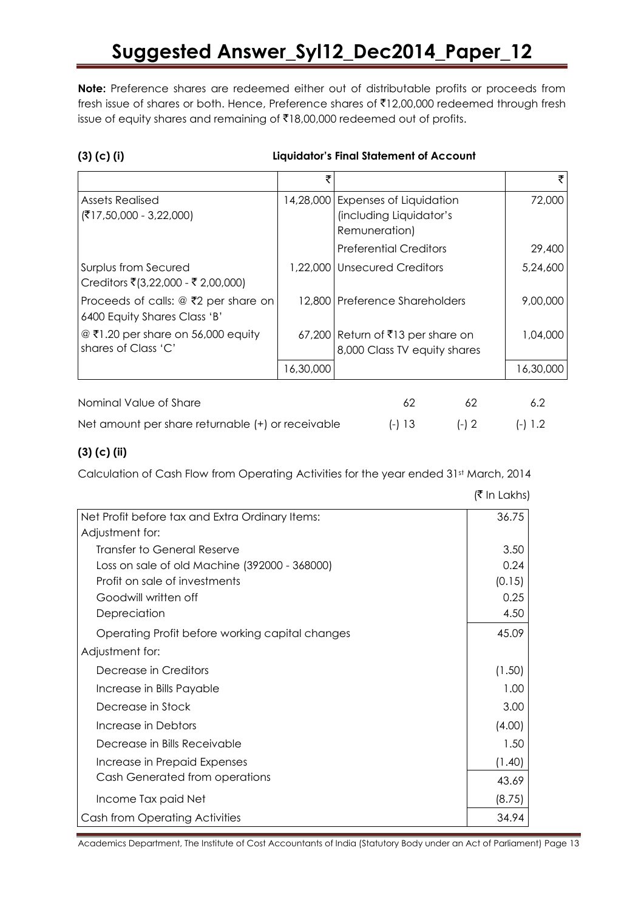**Note:** Preference shares are redeemed either out of distributable profits or proceeds from fresh issue of shares or both. Hence, Preference shares of ₹12,00,000 redeemed through fresh issue of equity shares and remaining of ₹18,00,000 redeemed out of profits.

|  |  | $(3)$ (c) (i) |  |
|--|--|---------------|--|
|--|--|---------------|--|

### **(3) (c) (i) Liquidator"s Final Statement of Account**

|                                                                           | ₹         |                                                                            |         | ₹         |
|---------------------------------------------------------------------------|-----------|----------------------------------------------------------------------------|---------|-----------|
| <b>Assets Realised</b><br>$({\overline{\mathbf{5}}17,50,000 - 3,22,000})$ | 14,28,000 | <b>Expenses of Liquidation</b><br>(including Liquidator's<br>Remuneration) |         | 72,000    |
|                                                                           |           | <b>Preferential Creditors</b>                                              |         | 29,400    |
| Surplus from Secured<br>Creditors ₹(3,22,000 - ₹ 2,00,000)                | 1,22,000  | Unsecured Creditors                                                        |         | 5,24,600  |
| Proceeds of calls: $@$ ₹2 per share on<br>6400 Equity Shares Class 'B'    |           | 12,800 Preference Shareholders                                             |         | 9,00,000  |
| $@$ ₹1.20 per share on 56,000 equity<br>shares of Class 'C'               |           | 67,200 Return of ₹13 per share on<br>8,000 Class TV equity shares          |         | 1,04,000  |
|                                                                           | 16,30,000 |                                                                            |         | 16,30,000 |
| Nominal Value of Share                                                    |           | 62                                                                         | 62      | 6.2       |
| Net amount per share returnable (+) or receivable                         |           | (-) 13                                                                     | $(-) 2$ | (-) 1.2   |

### **(3) (c) (ii)**

Calculation of Cash Flow from Operating Activities for the year ended 31st March, 2014

|                                                 | $\left  \cdot \right $ III LUNISI |
|-------------------------------------------------|-----------------------------------|
| Net Profit before tax and Extra Ordinary Items: | 36.75                             |
| Adjustment for:                                 |                                   |
| Transfer to General Reserve                     | 3.50                              |
| Loss on sale of old Machine (392000 - 368000)   | 0.24                              |
| Profit on sale of investments                   | (0.15)                            |
| Goodwill written off                            | 0.25                              |
| Depreciation                                    | 4.50                              |
| Operating Profit before working capital changes | 45.09                             |
| Adjustment for:                                 |                                   |
| Decrease in Creditors                           | (1.50)                            |
| Increase in Bills Payable                       | 1.00                              |
| Decrease in Stock                               | 3.00                              |
| Increase in Debtors                             | (4.00)                            |
| Decrease in Bills Receivable                    | 1.50                              |
| Increase in Prepaid Expenses                    | (1.40)                            |
| Cash Generated from operations                  | 43.69                             |
| Income Tax paid Net                             | (8.75)                            |
| Cash from Operating Activities                  | 34.94                             |

 $\mathcal{F}$  In Lakhel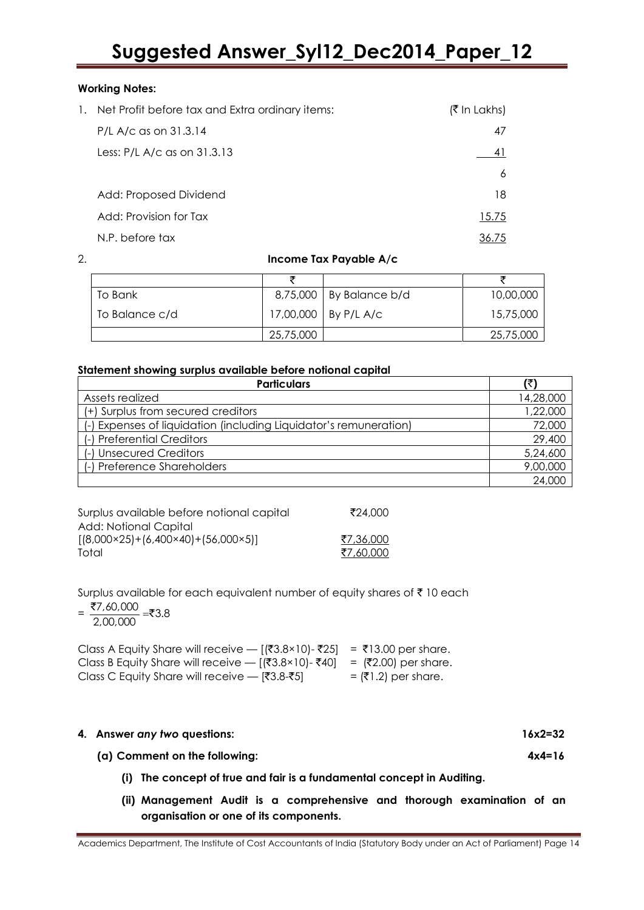### **Working Notes:**

| 1. Net Profit before tax and Extra ordinary items: | (₹ In Lakhs) |
|----------------------------------------------------|--------------|
| P/L A/c as on 31.3.14                              | 47           |
| Less: P/L A/c as on 31.3.13                        | 4 I          |
|                                                    | 6            |
| Add: Proposed Dividend                             | 18           |
| Add: Provision for Tax                             | 15.75        |
| N.P. before tax                                    | 36./5        |

### 2. **Income Tax Payable A/c**

| To Bank        |           | 8,75,000   By Balance b/d | 10,00,000 |
|----------------|-----------|---------------------------|-----------|
| To Balance c/d |           | 17,00,000   By P/L A/c    | 15,75,000 |
|                | 25,75,000 |                           | 25,75,000 |

### **Statement showing surplus available before notional capital**

| <b>Particulars</b>                                                | (₹)       |
|-------------------------------------------------------------------|-----------|
| Assets realized                                                   | 14,28,000 |
| (+) Surplus from secured creditors                                | 1,22,000  |
| (-) Expenses of liquidation (including Liquidator's remuneration) | 72,000    |
| (-) Preferential Creditors                                        | 29,400    |
| (-) Unsecured Creditors                                           | 5,24,600  |
| (-) Preference Shareholders                                       | 9,00,000  |
|                                                                   | 24,000    |

| Surplus available before notional capital           | ₹24.000   |
|-----------------------------------------------------|-----------|
| Add: Notional Capital                               |           |
| $[(8,000\times25)+(6,400\times40)+(56,000\times5)]$ | ₹7,36,000 |
| Total                                               | ₹7,60,000 |

Surplus available for each equivalent number of equity shares of  $\bar{\tau}$  10 each

 $=\frac{\overline{37},60,000}{2,00,000}$  = ₹3.8

| Class A Equity Share will receive — $[$ (₹3.8×10)- ₹25] = ₹13.00 per share. |                        |
|-----------------------------------------------------------------------------|------------------------|
| Class B Equity Share will receive — [ $(3.8 \times 10)$ -₹40]               | $=$ (₹2.00) per share. |
| Class C Equity Share will receive — [₹3.8-₹5]                               | $=$ (₹1.2) per share.  |

#### **4. Answer** *any two* **questions: 16x2=32**

**(a) Comment on the following: 4x4=16**

- **(i) The concept of true and fair is a fundamental concept in Auditing.**
- **(ii) Management Audit is a comprehensive and thorough examination of an organisation or one of its components.**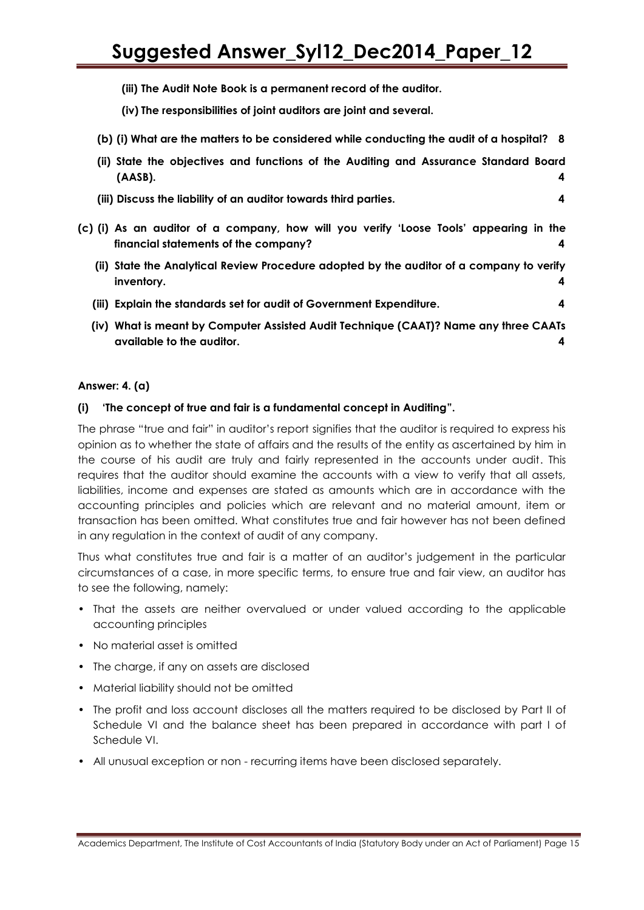**(iii) The Audit Note Book is a permanent record of the auditor.**

**(iv) The responsibilities of joint auditors are joint and several.**

**(b) (i) What are the matters to be considered while conducting the audit of a hospital? 8**

|            |  |  |  |  | (ii) State the objectives and functions of the Auditing and Assurance Standard Board |  |
|------------|--|--|--|--|--------------------------------------------------------------------------------------|--|
| $(AASB)$ . |  |  |  |  |                                                                                      |  |

- **(iii) Discuss the liability of an auditor towards third parties. 4**
- **(c) (i) As an auditor of a company, how will you verify "Loose Tools" appearing in the financial statements of the company? 4**
	- **(ii) State the Analytical Review Procedure adopted by the auditor of a company to verify inventory. 4**
	- **(iii) Explain the standards set for audit of Government Expenditure. 4**
	- **(iv) What is meant by Computer Assisted Audit Technique (CAAT)? Name any three CAATs available to the auditor. 4**

#### **Answer: 4. (a)**

### **(i) "The concept of true and fair is a fundamental concept in Auditing".**

The phrase "true and fair" in auditor"s report signifies that the auditor is required to express his opinion as to whether the state of affairs and the results of the entity as ascertained by him in the course of his audit are truly and fairly represented in the accounts under audit. This requires that the auditor should examine the accounts with a view to verify that all assets, liabilities, income and expenses are stated as amounts which are in accordance with the accounting principles and policies which are relevant and no material amount, item or transaction has been omitted. What constitutes true and fair however has not been defined in any regulation in the context of audit of any company.

Thus what constitutes true and fair is a matter of an auditor"s judgement in the particular circumstances of a case, in more specific terms, to ensure true and fair view, an auditor has to see the following, namely:

- That the assets are neither overvalued or under valued according to the applicable accounting principles
- No material asset is omitted
- The charge, if any on assets are disclosed
- Material liability should not be omitted
- The profit and loss account discloses all the matters required to be disclosed by Part II of Schedule VI and the balance sheet has been prepared in accordance with part I of Schedule VI.
- All unusual exception or non recurring items have been disclosed separately.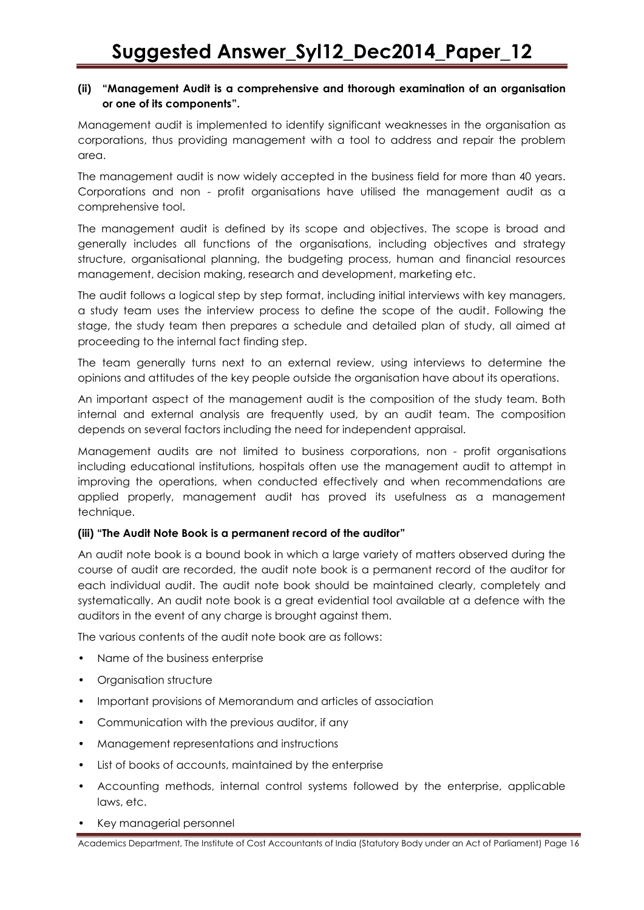### **(ii) "Management Audit is a comprehensive and thorough examination of an organisation or one of its components".**

Management audit is implemented to identify significant weaknesses in the organisation as corporations, thus providing management with a tool to address and repair the problem area.

The management audit is now widely accepted in the business field for more than 40 years. Corporations and non - profit organisations have utilised the management audit as a comprehensive tool.

The management audit is defined by its scope and objectives. The scope is broad and generally includes all functions of the organisations, including objectives and strategy structure, organisational planning, the budgeting process, human and financial resources management, decision making, research and development, marketing etc.

The audit follows a logical step by step format, including initial interviews with key managers, a study team uses the interview process to define the scope of the audit. Following the stage, the study team then prepares a schedule and detailed plan of study, all aimed at proceeding to the internal fact finding step.

The team generally turns next to an external review, using interviews to determine the opinions and attitudes of the key people outside the organisation have about its operations.

An important aspect of the management audit is the composition of the study team. Both internal and external analysis are frequently used, by an audit team. The composition depends on several factors including the need for independent appraisal.

Management audits are not limited to business corporations, non - profit organisations including educational institutions, hospitals often use the management audit to attempt in improving the operations, when conducted effectively and when recommendations are applied properly, management audit has proved its usefulness as a management technique.

### **(iii) "The Audit Note Book is a permanent record of the auditor"**

An audit note book is a bound book in which a large variety of matters observed during the course of audit are recorded, the audit note book is a permanent record of the auditor for each individual audit. The audit note book should be maintained clearly, completely and systematically. An audit note book is a great evidential tool available at a defence with the auditors in the event of any charge is brought against them.

The various contents of the audit note book are as follows:

- Name of the business enterprise
- Organisation structure
- Important provisions of Memorandum and articles of association
- Communication with the previous auditor, if any
- Management representations and instructions
- List of books of accounts, maintained by the enterprise
- Accounting methods, internal control systems followed by the enterprise, applicable laws, etc.
- Key managerial personnel

Academics Department, The Institute of Cost Accountants of India (Statutory Body under an Act of Parliament) Page 16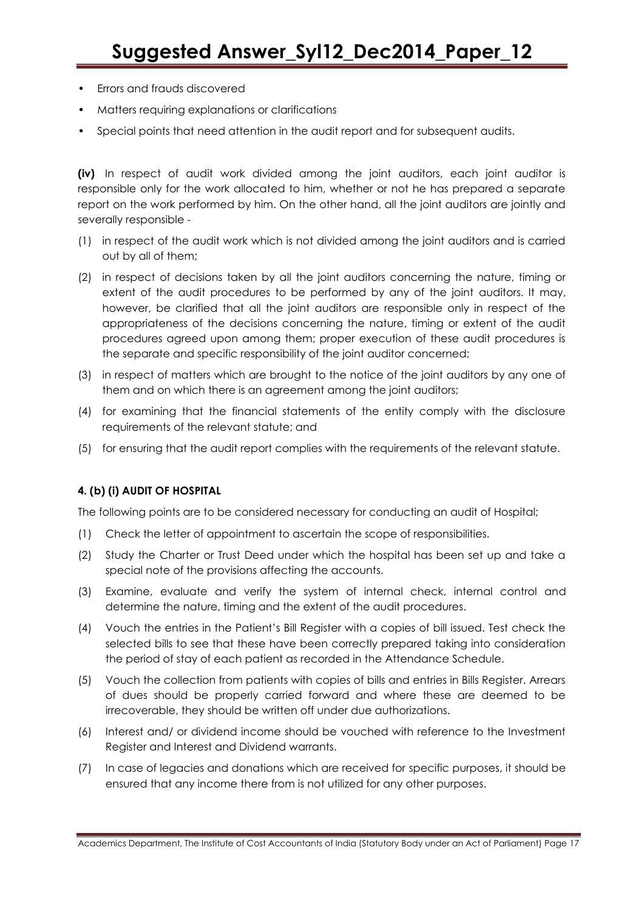- Errors and frauds discovered
- Matters requiring explanations or clarifications
- Special points that need attention in the audit report and for subsequent audits.

**(iv)** In respect of audit work divided among the joint auditors, each joint auditor is responsible only for the work allocated to him, whether or not he has prepared a separate report on the work performed by him. On the other hand, all the joint auditors are jointly and severally responsible -

- (1) in respect of the audit work which is not divided among the joint auditors and is carried out by all of them;
- (2) in respect of decisions taken by all the joint auditors concerning the nature, timing or extent of the audit procedures to be performed by any of the joint auditors. It may, however, be clarified that all the joint auditors are responsible only in respect of the appropriateness of the decisions concerning the nature, timing or extent of the audit procedures agreed upon among them; proper execution of these audit procedures is the separate and specific responsibility of the joint auditor concerned;
- (3) in respect of matters which are brought to the notice of the joint auditors by any one of them and on which there is an agreement among the joint auditors;
- (4) for examining that the financial statements of the entity comply with the disclosure requirements of the relevant statute; and
- (5) for ensuring that the audit report complies with the requirements of the relevant statute.

### **4. (b) (i) AUDIT OF HOSPITAL**

The following points are to be considered necessary for conducting an audit of Hospital;

- (1) Check the letter of appointment to ascertain the scope of responsibilities.
- (2) Study the Charter or Trust Deed under which the hospital has been set up and take a special note of the provisions affecting the accounts.
- (3) Examine, evaluate and verify the system of internal check, internal control and determine the nature, timing and the extent of the audit procedures.
- (4) Vouch the entries in the Patient"s Bill Register with a copies of bill issued. Test check the selected bills to see that these have been correctly prepared taking into consideration the period of stay of each patient as recorded in the Attendance Schedule.
- (5) Vouch the collection from patients with copies of bills and entries in Bills Register. Arrears of dues should be properly carried forward and where these are deemed to be irrecoverable, they should be written off under due authorizations.
- (6) Interest and/ or dividend income should be vouched with reference to the Investment Register and Interest and Dividend warrants.
- (7) In case of legacies and donations which are received for specific purposes, it should be ensured that any income there from is not utilized for any other purposes.

Academics Department, The Institute of Cost Accountants of India (Statutory Body under an Act of Parliament) Page 17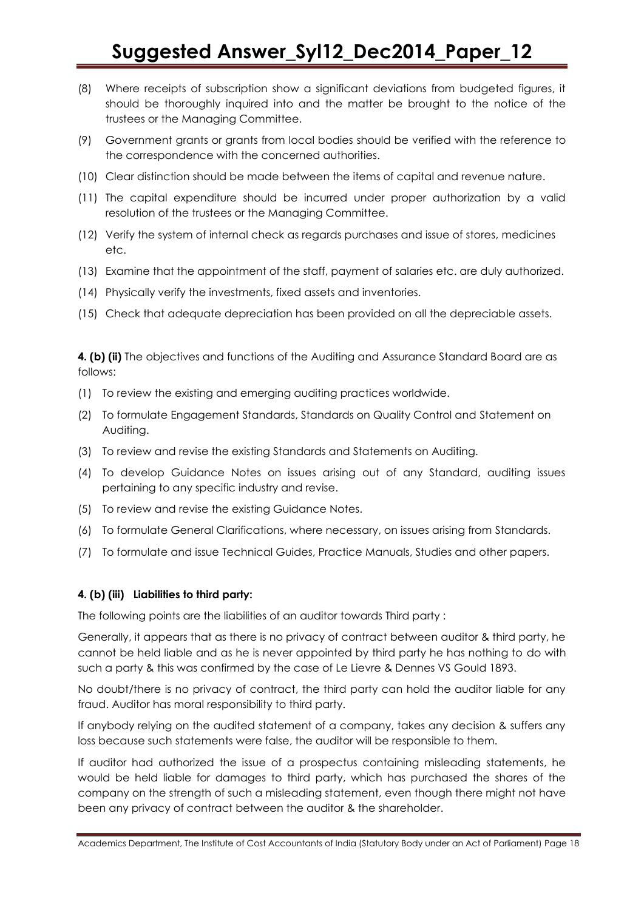- (8) Where receipts of subscription show a significant deviations from budgeted figures, it should be thoroughly inquired into and the matter be brought to the notice of the trustees or the Managing Committee.
- (9) Government grants or grants from local bodies should be verified with the reference to the correspondence with the concerned authorities.
- (10) Clear distinction should be made between the items of capital and revenue nature.
- (11) The capital expenditure should be incurred under proper authorization by a valid resolution of the trustees or the Managing Committee.
- (12) Verify the system of internal check as regards purchases and issue of stores, medicines etc.
- (13) Examine that the appointment of the staff, payment of salaries etc. are duly authorized.
- (14) Physically verify the investments, fixed assets and inventories.
- (15) Check that adequate depreciation has been provided on all the depreciable assets.

**4. (b) (ii)** The objectives and functions of the Auditing and Assurance Standard Board are as follows:

- (1) To review the existing and emerging auditing practices worldwide.
- (2) To formulate Engagement Standards, Standards on Quality Control and Statement on Auditing.
- (3) To review and revise the existing Standards and Statements on Auditing.
- (4) To develop Guidance Notes on issues arising out of any Standard, auditing issues pertaining to any specific industry and revise.
- (5) To review and revise the existing Guidance Notes.
- (6) To formulate General Clarifications, where necessary, on issues arising from Standards.
- (7) To formulate and issue Technical Guides, Practice Manuals, Studies and other papers.

### **4. (b) (iii) Liabilities to third party:**

The following points are the liabilities of an auditor towards Third party :

Generally, it appears that as there is no privacy of contract between auditor & third party, he cannot be held liable and as he is never appointed by third party he has nothing to do with such a party & this was confirmed by the case of Le Lievre & Dennes VS Gould 1893.

No doubt/there is no privacy of contract, the third party can hold the auditor liable for any fraud. Auditor has moral responsibility to third party.

If anybody relying on the audited statement of a company, takes any decision & suffers any loss because such statements were false, the auditor will be responsible to them.

If auditor had authorized the issue of a prospectus containing misleading statements, he would be held liable for damages to third party, which has purchased the shares of the company on the strength of such a misleading statement, even though there might not have been any privacy of contract between the auditor & the shareholder.

Academics Department, The Institute of Cost Accountants of India (Statutory Body under an Act of Parliament) Page 18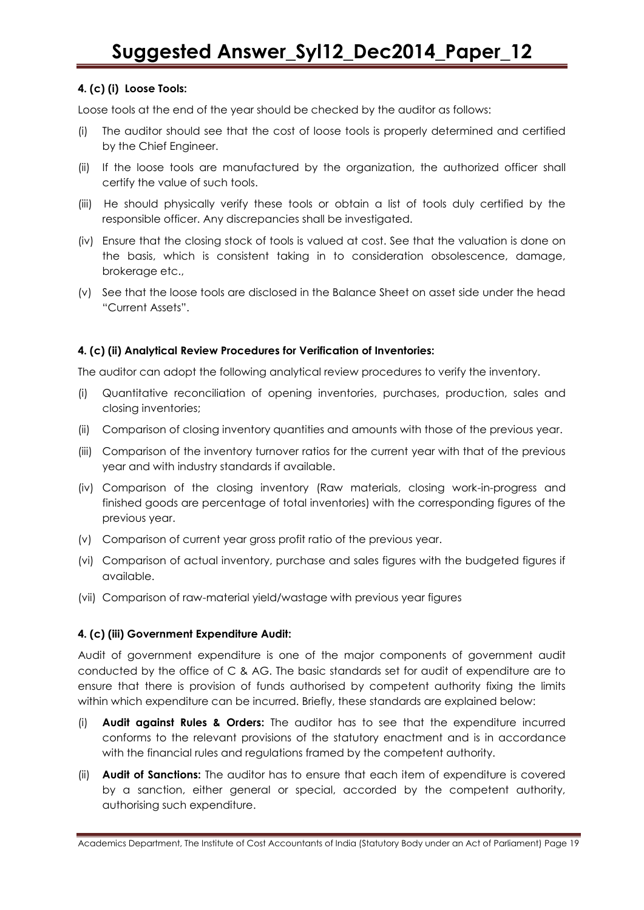### **4. (c) (i) Loose Tools:**

Loose tools at the end of the year should be checked by the auditor as follows:

- (i) The auditor should see that the cost of loose tools is properly determined and certified by the Chief Engineer.
- (ii) If the loose tools are manufactured by the organization, the authorized officer shall certify the value of such tools.
- (iii) He should physically verify these tools or obtain a list of tools duly certified by the responsible officer. Any discrepancies shall be investigated.
- (iv) Ensure that the closing stock of tools is valued at cost. See that the valuation is done on the basis, which is consistent taking in to consideration obsolescence, damage, brokerage etc.,
- (v) See that the loose tools are disclosed in the Balance Sheet on asset side under the head "Current Assets".

### **4. (c) (ii) Analytical Review Procedures for Verification of Inventories:**

The auditor can adopt the following analytical review procedures to verify the inventory.

- (i) Quantitative reconciliation of opening inventories, purchases, production, sales and closing inventories;
- (ii) Comparison of closing inventory quantities and amounts with those of the previous year.
- (iii) Comparison of the inventory turnover ratios for the current year with that of the previous year and with industry standards if available.
- (iv) Comparison of the closing inventory (Raw materials, closing work-in-progress and finished goods are percentage of total inventories) with the corresponding figures of the previous year.
- (v) Comparison of current year gross profit ratio of the previous year.
- (vi) Comparison of actual inventory, purchase and sales figures with the budgeted figures if available.
- (vii) Comparison of raw-material yield/wastage with previous year figures

### **4. (c) (iii) Government Expenditure Audit:**

Audit of government expenditure is one of the major components of government audit conducted by the office of C & AG. The basic standards set for audit of expenditure are to ensure that there is provision of funds authorised by competent authority fixing the limits within which expenditure can be incurred. Briefly, these standards are explained below:

- (i) **Audit against Rules & Orders:** The auditor has to see that the expenditure incurred conforms to the relevant provisions of the statutory enactment and is in accordance with the financial rules and regulations framed by the competent authority.
- (ii) **Audit of Sanctions:** The auditor has to ensure that each item of expenditure is covered by a sanction, either general or special, accorded by the competent authority, authorising such expenditure.

Academics Department, The Institute of Cost Accountants of India (Statutory Body under an Act of Parliament) Page 19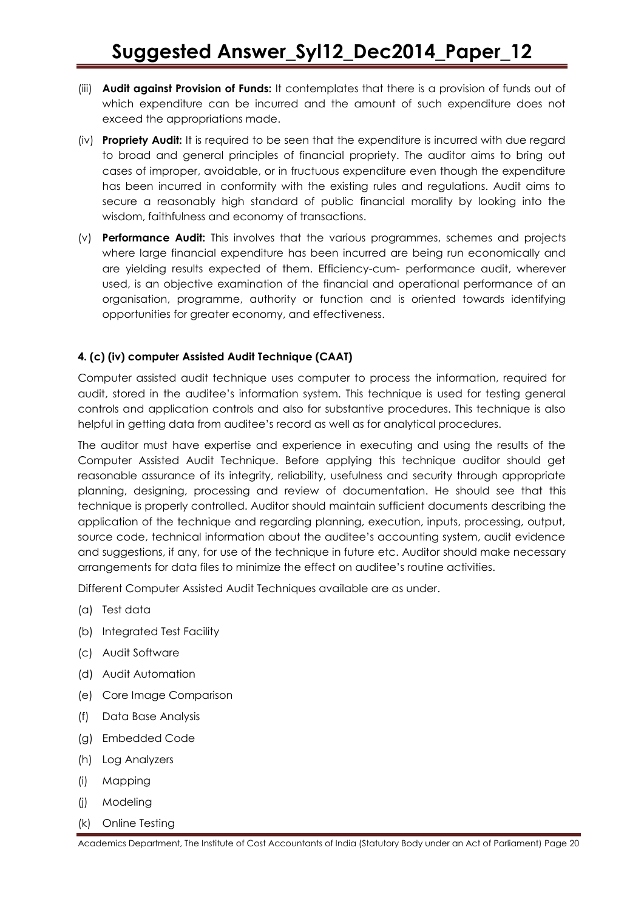- (iii) **Audit against Provision of Funds:** It contemplates that there is a provision of funds out of which expenditure can be incurred and the amount of such expenditure does not exceed the appropriations made.
- (iv) **Propriety Audit:** It is required to be seen that the expenditure is incurred with due regard to broad and general principles of financial propriety. The auditor aims to bring out cases of improper, avoidable, or in fructuous expenditure even though the expenditure has been incurred in conformity with the existing rules and regulations. Audit aims to secure a reasonably high standard of public financial morality by looking into the wisdom, faithfulness and economy of transactions.
- (v) **Performance Audit:** This involves that the various programmes, schemes and projects where large financial expenditure has been incurred are being run economically and are yielding results expected of them. Efficiency-cum- performance audit, wherever used, is an objective examination of the financial and operational performance of an organisation, programme, authority or function and is oriented towards identifying opportunities for greater economy, and effectiveness.

### **4. (c) (iv) computer Assisted Audit Technique (CAAT)**

Computer assisted audit technique uses computer to process the information, required for audit, stored in the auditee"s information system. This technique is used for testing general controls and application controls and also for substantive procedures. This technique is also helpful in getting data from auditee"s record as well as for analytical procedures.

The auditor must have expertise and experience in executing and using the results of the Computer Assisted Audit Technique. Before applying this technique auditor should get reasonable assurance of its integrity, reliability, usefulness and security through appropriate planning, designing, processing and review of documentation. He should see that this technique is properly controlled. Auditor should maintain sufficient documents describing the application of the technique and regarding planning, execution, inputs, processing, output, source code, technical information about the auditee"s accounting system, audit evidence and suggestions, if any, for use of the technique in future etc. Auditor should make necessary arrangements for data files to minimize the effect on auditee"s routine activities.

Different Computer Assisted Audit Techniques available are as under.

- (a) Test data
- (b) Integrated Test Facility
- (c) Audit Software
- (d) Audit Automation
- (e) Core Image Comparison
- (f) Data Base Analysis
- (g) Embedded Code
- (h) Log Analyzers
- (i) Mapping
- (j) Modeling
- (k) Online Testing